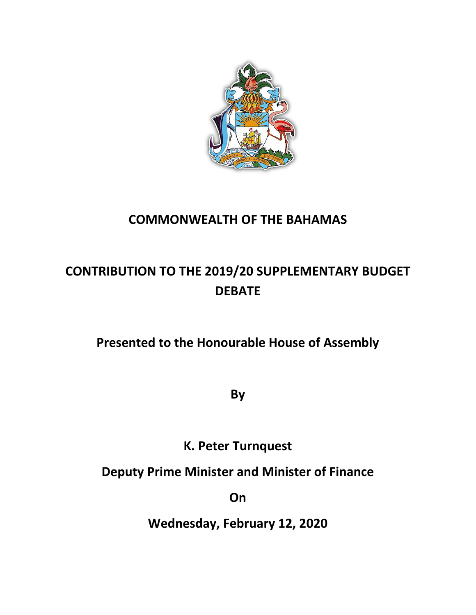

## **COMMONWEALTH OF THE BAHAMAS**

# **CONTRIBUTION TO THE 2019/20 SUPPLEMENTARY BUDGET DEBATE**

## **Presented to the Honourable House of Assembly**

**By**

**K. Peter Turnquest**

**Deputy Prime Minister and Minister of Finance**

**On**

**Wednesday, February 12, 2020**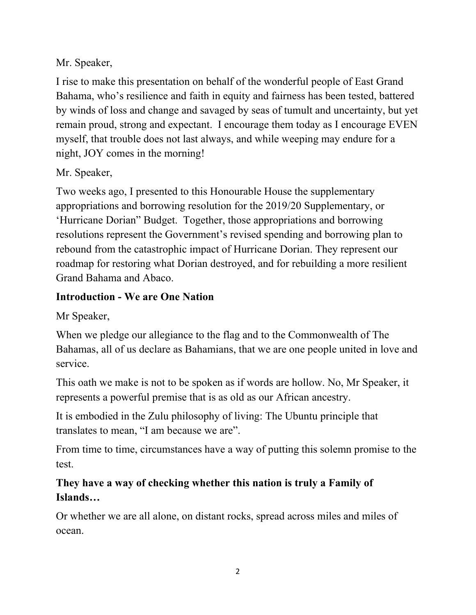## Mr. Speaker,

I rise to make this presentation on behalf of the wonderful people of East Grand Bahama, who's resilience and faith in equity and fairness has been tested, battered by winds of loss and change and savaged by seas of tumult and uncertainty, but yet remain proud, strong and expectant. I encourage them today as I encourage EVEN myself, that trouble does not last always, and while weeping may endure for a night, JOY comes in the morning!

#### Mr. Speaker,

Two weeks ago, I presented to this Honourable House the supplementary appropriations and borrowing resolution for the 2019/20 Supplementary, or 'Hurricane Dorian" Budget. Together, those appropriations and borrowing resolutions represent the Government's revised spending and borrowing plan to rebound from the catastrophic impact of Hurricane Dorian. They represent our roadmap for restoring what Dorian destroyed, and for rebuilding a more resilient Grand Bahama and Abaco.

## **Introduction - We are One Nation**

Mr Speaker,

When we pledge our allegiance to the flag and to the Commonwealth of The Bahamas, all of us declare as Bahamians, that we are one people united in love and service.

This oath we make is not to be spoken as if words are hollow. No, Mr Speaker, it represents a powerful premise that is as old as our African ancestry.

It is embodied in the Zulu philosophy of living: The Ubuntu principle that translates to mean, "I am because we are".

From time to time, circumstances have a way of putting this solemn promise to the test.

## **They have a way of checking whether this nation is truly a Family of Islands…**

Or whether we are all alone, on distant rocks, spread across miles and miles of ocean.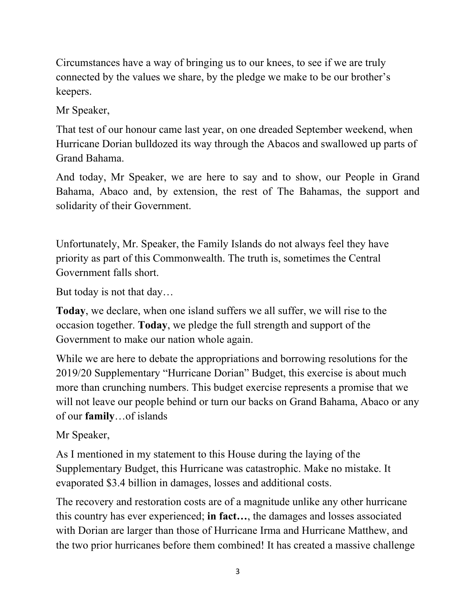Circumstances have a way of bringing us to our knees, to see if we are truly connected by the values we share, by the pledge we make to be our brother's keepers.

Mr Speaker,

That test of our honour came last year, on one dreaded September weekend, when Hurricane Dorian bulldozed its way through the Abacos and swallowed up parts of Grand Bahama.

And today, Mr Speaker, we are here to say and to show, our People in Grand Bahama, Abaco and, by extension, the rest of The Bahamas, the support and solidarity of their Government.

Unfortunately, Mr. Speaker, the Family Islands do not always feel they have priority as part of this Commonwealth. The truth is, sometimes the Central Government falls short.

But today is not that day…

**Today**, we declare, when one island suffers we all suffer, we will rise to the occasion together. **Today**, we pledge the full strength and support of the Government to make our nation whole again.

While we are here to debate the appropriations and borrowing resolutions for the 2019/20 Supplementary "Hurricane Dorian" Budget, this exercise is about much more than crunching numbers. This budget exercise represents a promise that we will not leave our people behind or turn our backs on Grand Bahama, Abaco or any of our **family**…of islands

Mr Speaker,

As I mentioned in my statement to this House during the laying of the Supplementary Budget, this Hurricane was catastrophic. Make no mistake. It evaporated \$3.4 billion in damages, losses and additional costs.

The recovery and restoration costs are of a magnitude unlike any other hurricane this country has ever experienced; **in fact…**, the damages and losses associated with Dorian are larger than those of Hurricane Irma and Hurricane Matthew, and the two prior hurricanes before them combined! It has created a massive challenge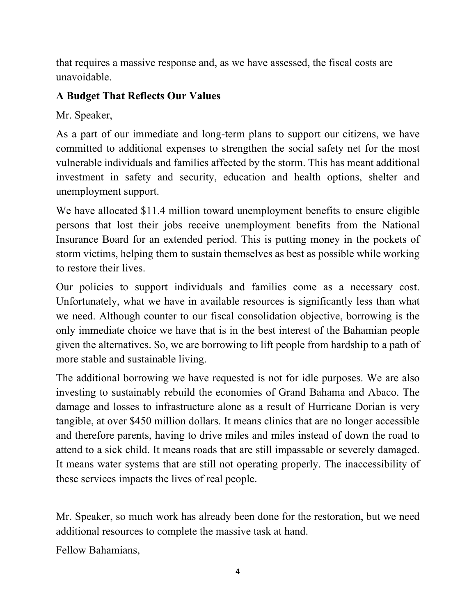that requires a massive response and, as we have assessed, the fiscal costs are unavoidable.

#### **A Budget That Reflects Our Values**

Mr. Speaker,

As a part of our immediate and long-term plans to support our citizens, we have committed to additional expenses to strengthen the social safety net for the most vulnerable individuals and families affected by the storm. This has meant additional investment in safety and security, education and health options, shelter and unemployment support.

We have allocated \$11.4 million toward unemployment benefits to ensure eligible persons that lost their jobs receive unemployment benefits from the National Insurance Board for an extended period. This is putting money in the pockets of storm victims, helping them to sustain themselves as best as possible while working to restore their lives.

Our policies to support individuals and families come as a necessary cost. Unfortunately, what we have in available resources is significantly less than what we need. Although counter to our fiscal consolidation objective, borrowing is the only immediate choice we have that is in the best interest of the Bahamian people given the alternatives. So, we are borrowing to lift people from hardship to a path of more stable and sustainable living.

The additional borrowing we have requested is not for idle purposes. We are also investing to sustainably rebuild the economies of Grand Bahama and Abaco. The damage and losses to infrastructure alone as a result of Hurricane Dorian is very tangible, at over \$450 million dollars. It means clinics that are no longer accessible and therefore parents, having to drive miles and miles instead of down the road to attend to a sick child. It means roads that are still impassable or severely damaged. It means water systems that are still not operating properly. The inaccessibility of these services impacts the lives of real people.

Mr. Speaker, so much work has already been done for the restoration, but we need additional resources to complete the massive task at hand.

Fellow Bahamians,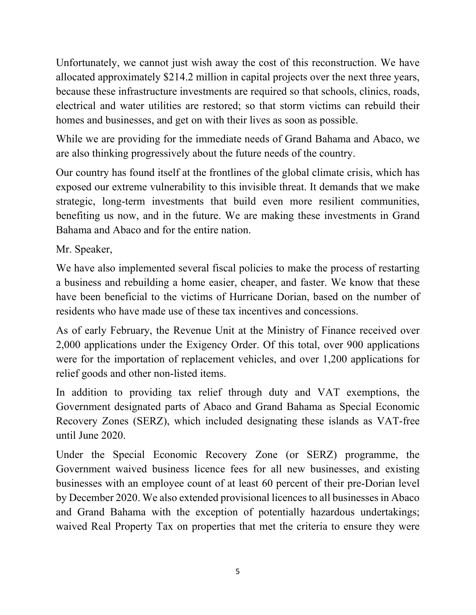Unfortunately, we cannot just wish away the cost of this reconstruction. We have allocated approximately \$214.2 million in capital projects over the next three years, because these infrastructure investments are required so that schools, clinics, roads, electrical and water utilities are restored; so that storm victims can rebuild their homes and businesses, and get on with their lives as soon as possible.

While we are providing for the immediate needs of Grand Bahama and Abaco, we are also thinking progressively about the future needs of the country.

Our country has found itself at the frontlines of the global climate crisis, which has exposed our extreme vulnerability to this invisible threat. It demands that we make strategic, long-term investments that build even more resilient communities, benefiting us now, and in the future. We are making these investments in Grand Bahama and Abaco and for the entire nation.

Mr. Speaker,

We have also implemented several fiscal policies to make the process of restarting a business and rebuilding a home easier, cheaper, and faster. We know that these have been beneficial to the victims of Hurricane Dorian, based on the number of residents who have made use of these tax incentives and concessions.

As of early February, the Revenue Unit at the Ministry of Finance received over 2,000 applications under the Exigency Order. Of this total, over 900 applications were for the importation of replacement vehicles, and over 1,200 applications for relief goods and other non-listed items.

In addition to providing tax relief through duty and VAT exemptions, the Government designated parts of Abaco and Grand Bahama as Special Economic Recovery Zones (SERZ), which included designating these islands as VAT-free until June 2020.

Under the Special Economic Recovery Zone (or SERZ) programme, the Government waived business licence fees for all new businesses, and existing businesses with an employee count of at least 60 percent of their pre-Dorian level by December 2020. We also extended provisional licences to all businesses in Abaco and Grand Bahama with the exception of potentially hazardous undertakings; waived Real Property Tax on properties that met the criteria to ensure they were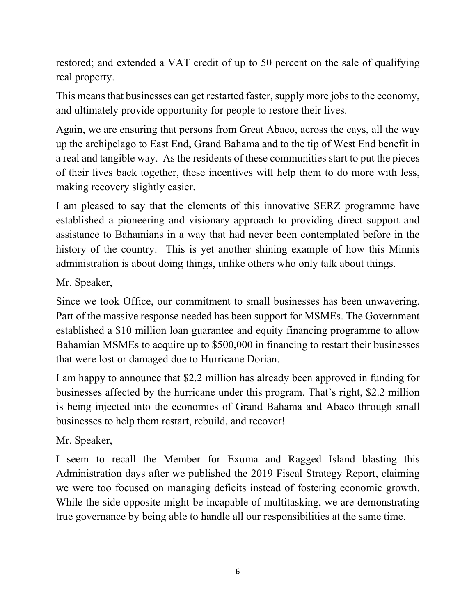restored; and extended a VAT credit of up to 50 percent on the sale of qualifying real property.

This means that businesses can get restarted faster, supply more jobs to the economy, and ultimately provide opportunity for people to restore their lives.

Again, we are ensuring that persons from Great Abaco, across the cays, all the way up the archipelago to East End, Grand Bahama and to the tip of West End benefit in a real and tangible way. As the residents of these communities start to put the pieces of their lives back together, these incentives will help them to do more with less, making recovery slightly easier.

I am pleased to say that the elements of this innovative SERZ programme have established a pioneering and visionary approach to providing direct support and assistance to Bahamians in a way that had never been contemplated before in the history of the country. This is yet another shining example of how this Minnis administration is about doing things, unlike others who only talk about things.

Mr. Speaker,

Since we took Office, our commitment to small businesses has been unwavering. Part of the massive response needed has been support for MSMEs. The Government established a \$10 million loan guarantee and equity financing programme to allow Bahamian MSMEs to acquire up to \$500,000 in financing to restart their businesses that were lost or damaged due to Hurricane Dorian.

I am happy to announce that \$2.2 million has already been approved in funding for businesses affected by the hurricane under this program. That's right, \$2.2 million is being injected into the economies of Grand Bahama and Abaco through small businesses to help them restart, rebuild, and recover!

Mr. Speaker,

I seem to recall the Member for Exuma and Ragged Island blasting this Administration days after we published the 2019 Fiscal Strategy Report, claiming we were too focused on managing deficits instead of fostering economic growth. While the side opposite might be incapable of multitasking, we are demonstrating true governance by being able to handle all our responsibilities at the same time.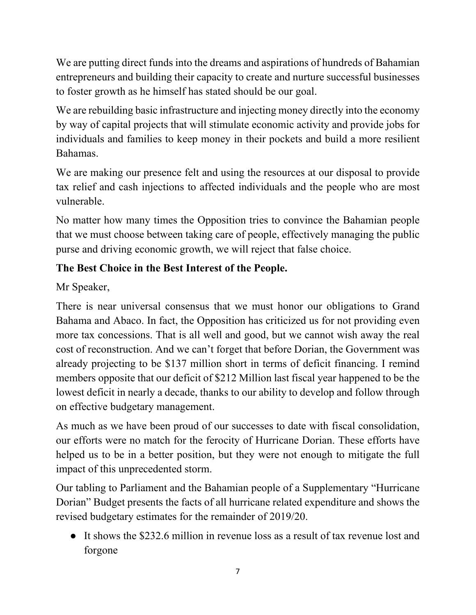We are putting direct funds into the dreams and aspirations of hundreds of Bahamian entrepreneurs and building their capacity to create and nurture successful businesses to foster growth as he himself has stated should be our goal.

We are rebuilding basic infrastructure and injecting money directly into the economy by way of capital projects that will stimulate economic activity and provide jobs for individuals and families to keep money in their pockets and build a more resilient Bahamas.

We are making our presence felt and using the resources at our disposal to provide tax relief and cash injections to affected individuals and the people who are most vulnerable.

No matter how many times the Opposition tries to convince the Bahamian people that we must choose between taking care of people, effectively managing the public purse and driving economic growth, we will reject that false choice.

## **The Best Choice in the Best Interest of the People.**

Mr Speaker,

There is near universal consensus that we must honor our obligations to Grand Bahama and Abaco. In fact, the Opposition has criticized us for not providing even more tax concessions. That is all well and good, but we cannot wish away the real cost of reconstruction. And we can't forget that before Dorian, the Government was already projecting to be \$137 million short in terms of deficit financing. I remind members opposite that our deficit of \$212 Million last fiscal year happened to be the lowest deficit in nearly a decade, thanks to our ability to develop and follow through on effective budgetary management.

As much as we have been proud of our successes to date with fiscal consolidation, our efforts were no match for the ferocity of Hurricane Dorian. These efforts have helped us to be in a better position, but they were not enough to mitigate the full impact of this unprecedented storm.

Our tabling to Parliament and the Bahamian people of a Supplementary "Hurricane Dorian" Budget presents the facts of all hurricane related expenditure and shows the revised budgetary estimates for the remainder of 2019/20.

● It shows the \$232.6 million in revenue loss as a result of tax revenue lost and forgone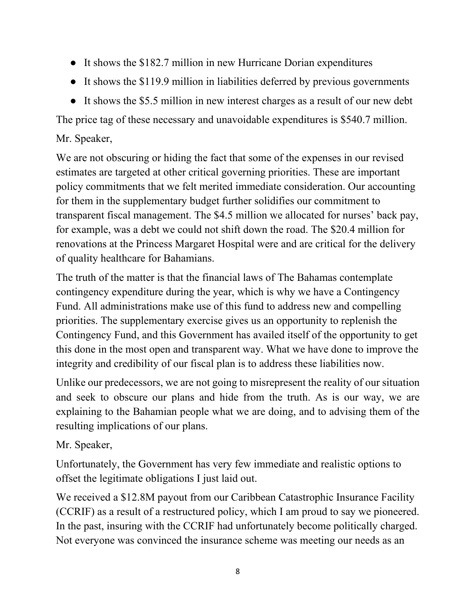- It shows the \$182.7 million in new Hurricane Dorian expenditures
- It shows the \$119.9 million in liabilities deferred by previous governments
- It shows the \$5.5 million in new interest charges as a result of our new debt

The price tag of these necessary and unavoidable expenditures is \$540.7 million.

## Mr. Speaker,

We are not obscuring or hiding the fact that some of the expenses in our revised estimates are targeted at other critical governing priorities. These are important policy commitments that we felt merited immediate consideration. Our accounting for them in the supplementary budget further solidifies our commitment to transparent fiscal management. The \$4.5 million we allocated for nurses' back pay, for example, was a debt we could not shift down the road. The \$20.4 million for renovations at the Princess Margaret Hospital were and are critical for the delivery of quality healthcare for Bahamians.

The truth of the matter is that the financial laws of The Bahamas contemplate contingency expenditure during the year, which is why we have a Contingency Fund. All administrations make use of this fund to address new and compelling priorities. The supplementary exercise gives us an opportunity to replenish the Contingency Fund, and this Government has availed itself of the opportunity to get this done in the most open and transparent way. What we have done to improve the integrity and credibility of our fiscal plan is to address these liabilities now.

Unlike our predecessors, we are not going to misrepresent the reality of our situation and seek to obscure our plans and hide from the truth. As is our way, we are explaining to the Bahamian people what we are doing, and to advising them of the resulting implications of our plans.

## Mr. Speaker,

Unfortunately, the Government has very few immediate and realistic options to offset the legitimate obligations I just laid out.

We received a \$12.8M payout from our Caribbean Catastrophic Insurance Facility (CCRIF) as a result of a restructured policy, which I am proud to say we pioneered. In the past, insuring with the CCRIF had unfortunately become politically charged. Not everyone was convinced the insurance scheme was meeting our needs as an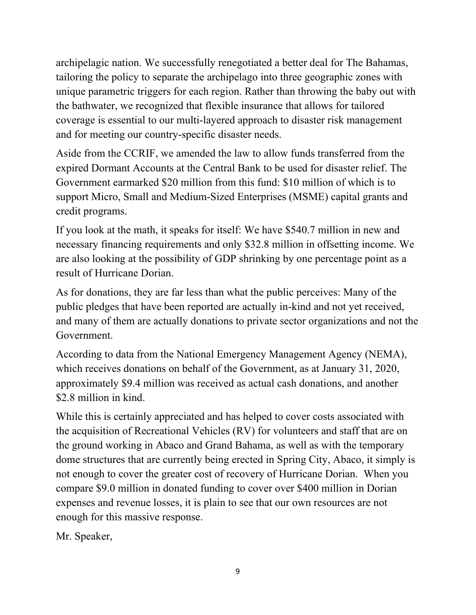archipelagic nation. We successfully renegotiated a better deal for The Bahamas, tailoring the policy to separate the archipelago into three geographic zones with unique parametric triggers for each region. Rather than throwing the baby out with the bathwater, we recognized that flexible insurance that allows for tailored coverage is essential to our multi-layered approach to disaster risk management and for meeting our country-specific disaster needs.

Aside from the CCRIF, we amended the law to allow funds transferred from the expired Dormant Accounts at the Central Bank to be used for disaster relief. The Government earmarked \$20 million from this fund: \$10 million of which is to support Micro, Small and Medium-Sized Enterprises (MSME) capital grants and credit programs.

If you look at the math, it speaks for itself: We have \$540.7 million in new and necessary financing requirements and only \$32.8 million in offsetting income. We are also looking at the possibility of GDP shrinking by one percentage point as a result of Hurricane Dorian.

As for donations, they are far less than what the public perceives: Many of the public pledges that have been reported are actually in-kind and not yet received, and many of them are actually donations to private sector organizations and not the Government.

According to data from the National Emergency Management Agency (NEMA), which receives donations on behalf of the Government, as at January 31, 2020, approximately \$9.4 million was received as actual cash donations, and another \$2.8 million in kind.

While this is certainly appreciated and has helped to cover costs associated with the acquisition of Recreational Vehicles (RV) for volunteers and staff that are on the ground working in Abaco and Grand Bahama, as well as with the temporary dome structures that are currently being erected in Spring City, Abaco, it simply is not enough to cover the greater cost of recovery of Hurricane Dorian. When you compare \$9.0 million in donated funding to cover over \$400 million in Dorian expenses and revenue losses, it is plain to see that our own resources are not enough for this massive response.

Mr. Speaker,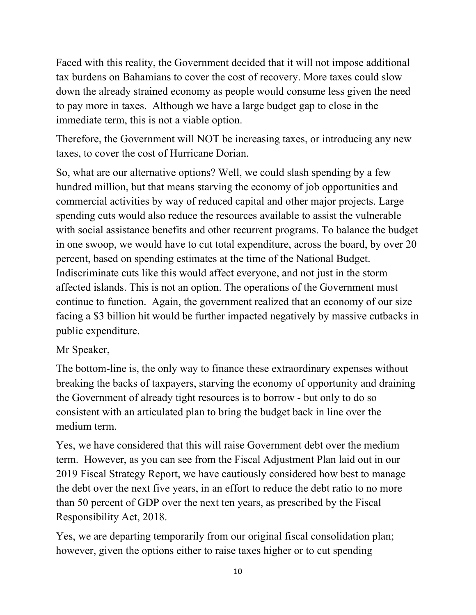Faced with this reality, the Government decided that it will not impose additional tax burdens on Bahamians to cover the cost of recovery. More taxes could slow down the already strained economy as people would consume less given the need to pay more in taxes. Although we have a large budget gap to close in the immediate term, this is not a viable option.

Therefore, the Government will NOT be increasing taxes, or introducing any new taxes, to cover the cost of Hurricane Dorian.

So, what are our alternative options? Well, we could slash spending by a few hundred million, but that means starving the economy of job opportunities and commercial activities by way of reduced capital and other major projects. Large spending cuts would also reduce the resources available to assist the vulnerable with social assistance benefits and other recurrent programs. To balance the budget in one swoop, we would have to cut total expenditure, across the board, by over 20 percent, based on spending estimates at the time of the National Budget. Indiscriminate cuts like this would affect everyone, and not just in the storm affected islands. This is not an option. The operations of the Government must continue to function. Again, the government realized that an economy of our size facing a \$3 billion hit would be further impacted negatively by massive cutbacks in public expenditure.

#### Mr Speaker,

The bottom-line is, the only way to finance these extraordinary expenses without breaking the backs of taxpayers, starving the economy of opportunity and draining the Government of already tight resources is to borrow - but only to do so consistent with an articulated plan to bring the budget back in line over the medium term.

Yes, we have considered that this will raise Government debt over the medium term. However, as you can see from the Fiscal Adjustment Plan laid out in our 2019 Fiscal Strategy Report, we have cautiously considered how best to manage the debt over the next five years, in an effort to reduce the debt ratio to no more than 50 percent of GDP over the next ten years, as prescribed by the Fiscal Responsibility Act, 2018.

Yes, we are departing temporarily from our original fiscal consolidation plan; however, given the options either to raise taxes higher or to cut spending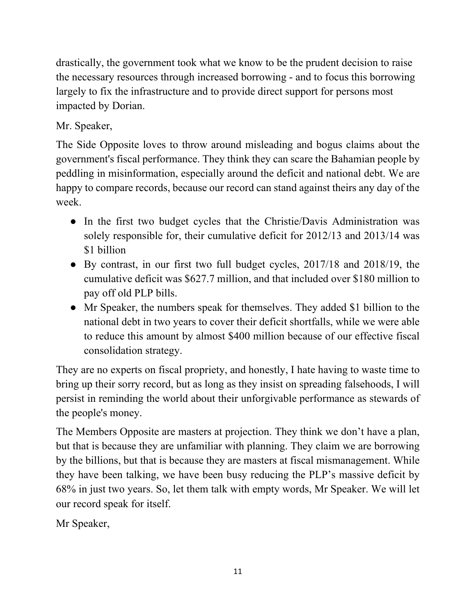drastically, the government took what we know to be the prudent decision to raise the necessary resources through increased borrowing - and to focus this borrowing largely to fix the infrastructure and to provide direct support for persons most impacted by Dorian.

## Mr. Speaker,

The Side Opposite loves to throw around misleading and bogus claims about the government's fiscal performance. They think they can scare the Bahamian people by peddling in misinformation, especially around the deficit and national debt. We are happy to compare records, because our record can stand against theirs any day of the week.

- In the first two budget cycles that the Christie/Davis Administration was solely responsible for, their cumulative deficit for 2012/13 and 2013/14 was \$1 billion
- By contrast, in our first two full budget cycles, 2017/18 and 2018/19, the cumulative deficit was \$627.7 million, and that included over \$180 million to pay off old PLP bills.
- Mr Speaker, the numbers speak for themselves. They added \$1 billion to the national debt in two years to cover their deficit shortfalls, while we were able to reduce this amount by almost \$400 million because of our effective fiscal consolidation strategy.

They are no experts on fiscal propriety, and honestly, I hate having to waste time to bring up their sorry record, but as long as they insist on spreading falsehoods, I will persist in reminding the world about their unforgivable performance as stewards of the people's money.

The Members Opposite are masters at projection. They think we don't have a plan, but that is because they are unfamiliar with planning. They claim we are borrowing by the billions, but that is because they are masters at fiscal mismanagement. While they have been talking, we have been busy reducing the PLP's massive deficit by 68% in just two years. So, let them talk with empty words, Mr Speaker. We will let our record speak for itself.

Mr Speaker,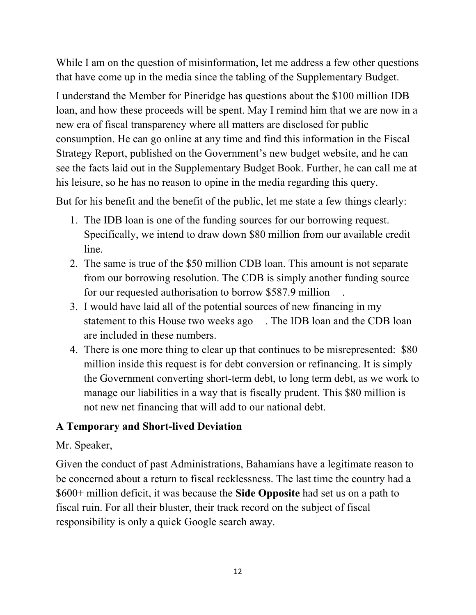While I am on the question of misinformation, let me address a few other questions that have come up in the media since the tabling of the Supplementary Budget.

I understand the Member for Pineridge has questions about the \$100 million IDB loan, and how these proceeds will be spent. May I remind him that we are now in a new era of fiscal transparency where all matters are disclosed for public consumption. He can go online at any time and find this information in the Fiscal Strategy Report, published on the Government's new budget website, and he can see the facts laid out in the Supplementary Budget Book. Further, he can call me at his leisure, so he has no reason to opine in the media regarding this query.

But for his benefit and the benefit of the public, let me state a few things clearly:

- 1. The IDB loan is one of the funding sources for our borrowing request. Specifically, we intend to draw down \$80 million from our available credit line.
- 2. The same is true of the \$50 million CDB loan. This amount is not separate from our borrowing resolution. The CDB is simply another funding source for our requested authorisation to borrow \$587.9 million .
- 3. I would have laid all of the potential sources of new financing in my statement to this House two weeks ago . The IDB loan and the CDB loan are included in these numbers.
- 4. There is one more thing to clear up that continues to be misrepresented: \$80 million inside this request is for debt conversion or refinancing. It is simply the Government converting short-term debt, to long term debt, as we work to manage our liabilities in a way that is fiscally prudent. This \$80 million is not new net financing that will add to our national debt.

## **A Temporary and Short-lived Deviation**

## Mr. Speaker,

Given the conduct of past Administrations, Bahamians have a legitimate reason to be concerned about a return to fiscal recklessness. The last time the country had a \$600+ million deficit, it was because the **Side Opposite** had set us on a path to fiscal ruin. For all their bluster, their track record on the subject of fiscal responsibility is only a quick Google search away.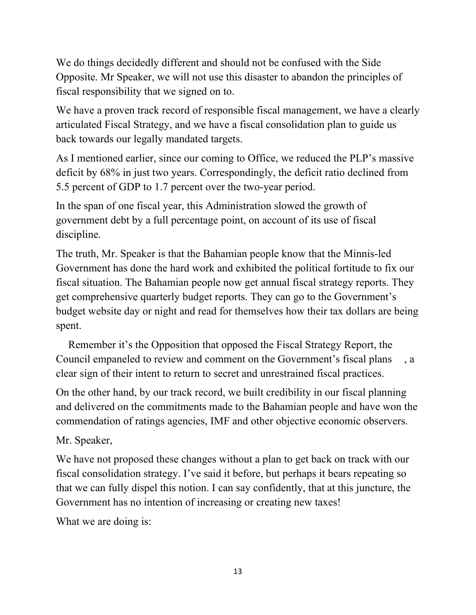We do things decidedly different and should not be confused with the Side Opposite. Mr Speaker, we will not use this disaster to abandon the principles of fiscal responsibility that we signed on to.

We have a proven track record of responsible fiscal management, we have a clearly articulated Fiscal Strategy, and we have a fiscal consolidation plan to guide us back towards our legally mandated targets.

As I mentioned earlier, since our coming to Office, we reduced the PLP's massive deficit by 68% in just two years. Correspondingly, the deficit ratio declined from 5.5 percent of GDP to 1.7 percent over the two-year period.

In the span of one fiscal year, this Administration slowed the growth of government debt by a full percentage point, on account of its use of fiscal discipline.

The truth, Mr. Speaker is that the Bahamian people know that the Minnis-led Government has done the hard work and exhibited the political fortitude to fix our fiscal situation. The Bahamian people now get annual fiscal strategy reports. They get comprehensive quarterly budget reports. They can go to the Government's budget website day or night and read for themselves how their tax dollars are being spent.

 Remember it's the Opposition that opposed the Fiscal Strategy Report, the Council empaneled to review and comment on the Government's fiscal plans , a clear sign of their intent to return to secret and unrestrained fiscal practices.

On the other hand, by our track record, we built credibility in our fiscal planning and delivered on the commitments made to the Bahamian people and have won the commendation of ratings agencies, IMF and other objective economic observers.

Mr. Speaker,

We have not proposed these changes without a plan to get back on track with our fiscal consolidation strategy. I've said it before, but perhaps it bears repeating so that we can fully dispel this notion. I can say confidently, that at this juncture, the Government has no intention of increasing or creating new taxes!

What we are doing is: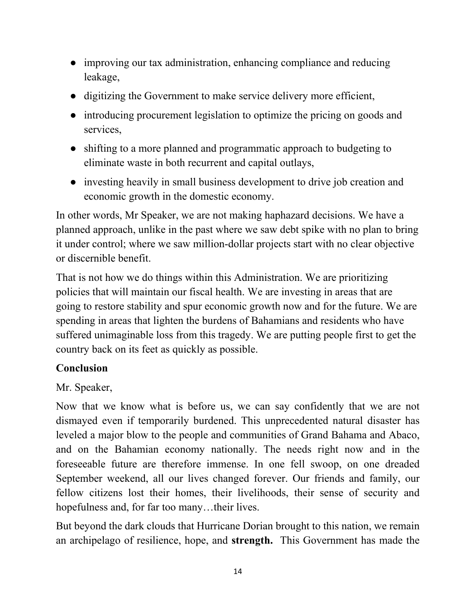- improving our tax administration, enhancing compliance and reducing leakage,
- digitizing the Government to make service delivery more efficient,
- introducing procurement legislation to optimize the pricing on goods and services,
- shifting to a more planned and programmatic approach to budgeting to eliminate waste in both recurrent and capital outlays,
- investing heavily in small business development to drive job creation and economic growth in the domestic economy.

In other words, Mr Speaker, we are not making haphazard decisions. We have a planned approach, unlike in the past where we saw debt spike with no plan to bring it under control; where we saw million-dollar projects start with no clear objective or discernible benefit.

That is not how we do things within this Administration. We are prioritizing policies that will maintain our fiscal health. We are investing in areas that are going to restore stability and spur economic growth now and for the future. We are spending in areas that lighten the burdens of Bahamians and residents who have suffered unimaginable loss from this tragedy. We are putting people first to get the country back on its feet as quickly as possible.

## **Conclusion**

Mr. Speaker,

Now that we know what is before us, we can say confidently that we are not dismayed even if temporarily burdened. This unprecedented natural disaster has leveled a major blow to the people and communities of Grand Bahama and Abaco, and on the Bahamian economy nationally. The needs right now and in the foreseeable future are therefore immense. In one fell swoop, on one dreaded September weekend, all our lives changed forever. Our friends and family, our fellow citizens lost their homes, their livelihoods, their sense of security and hopefulness and, for far too many...their lives.

But beyond the dark clouds that Hurricane Dorian brought to this nation, we remain an archipelago of resilience, hope, and **strength.** This Government has made the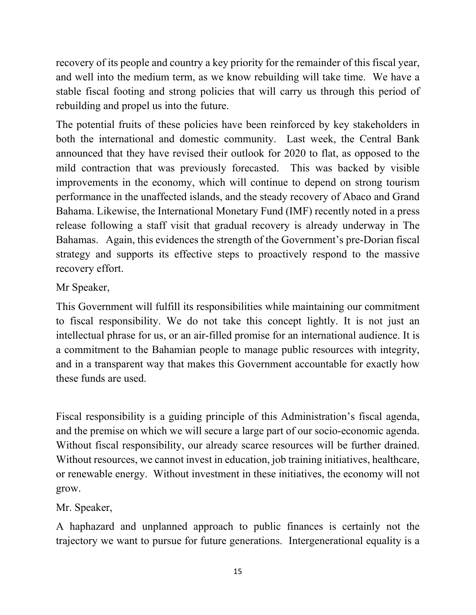recovery of its people and country a key priority for the remainder of this fiscal year, and well into the medium term, as we know rebuilding will take time. We have a stable fiscal footing and strong policies that will carry us through this period of rebuilding and propel us into the future.

The potential fruits of these policies have been reinforced by key stakeholders in both the international and domestic community. Last week, the Central Bank announced that they have revised their outlook for 2020 to flat, as opposed to the mild contraction that was previously forecasted. This was backed by visible improvements in the economy, which will continue to depend on strong tourism performance in the unaffected islands, and the steady recovery of Abaco and Grand Bahama. Likewise, the International Monetary Fund (IMF) recently noted in a press release following a staff visit that gradual recovery is already underway in The Bahamas. Again, this evidences the strength of the Government's pre-Dorian fiscal strategy and supports its effective steps to proactively respond to the massive recovery effort.

## Mr Speaker,

This Government will fulfill its responsibilities while maintaining our commitment to fiscal responsibility. We do not take this concept lightly. It is not just an intellectual phrase for us, or an air-filled promise for an international audience. It is a commitment to the Bahamian people to manage public resources with integrity, and in a transparent way that makes this Government accountable for exactly how these funds are used.

Fiscal responsibility is a guiding principle of this Administration's fiscal agenda, and the premise on which we will secure a large part of our socio-economic agenda. Without fiscal responsibility, our already scarce resources will be further drained. Without resources, we cannot invest in education, job training initiatives, healthcare, or renewable energy. Without investment in these initiatives, the economy will not grow.

Mr. Speaker,

A haphazard and unplanned approach to public finances is certainly not the trajectory we want to pursue for future generations. Intergenerational equality is a